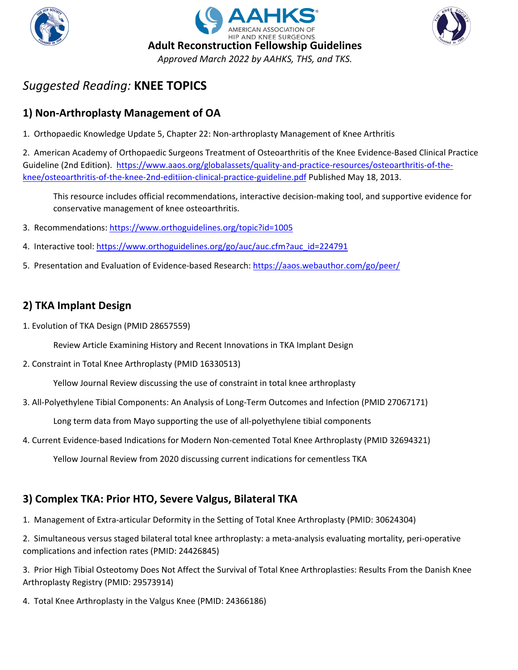





# **1) Non-Arthroplasty Management of OA**

1. Orthopaedic Knowledge Update 5, Chapter 22: Non-arthroplasty Management of Knee Arthritis

2. American Academy of Orthopaedic Surgeons Treatment of Osteoarthritis of the Knee Evidence-Based Clinical Practice Guideline (2nd Edition). [https://www.aaos.org/globalassets/quality-and-practice-resources/osteoarthritis-of-the](https://www.aaos.org/globalassets/quality-and-practice-resources/osteoarthritis-of-the-knee/osteoarthritis-of-the-knee-2nd-editiion-clinical-practice-guideline.pdf)[knee/osteoarthritis-of-the-knee-2nd-editiion-clinical-practice-guideline.pdf](https://www.aaos.org/globalassets/quality-and-practice-resources/osteoarthritis-of-the-knee/osteoarthritis-of-the-knee-2nd-editiion-clinical-practice-guideline.pdf) Published May 18, 2013.

This resource includes official recommendations, interactive decision-making tool, and supportive evidence for conservative management of knee osteoarthritis.

- 3. Recommendations[: https://www.orthoguidelines.org/topic?id=1005](https://www.orthoguidelines.org/topic?id=1005)
- 4. Interactive tool: [https://www.orthoguidelines.org/go/auc/auc.cfm?auc\\_id=224791](https://www.orthoguidelines.org/go/auc/auc.cfm?auc_id=224791)
- 5. Presentation and Evaluation of Evidence-based Research:<https://aaos.webauthor.com/go/peer/>

# **2) TKA Implant Design**

1. Evolution of TKA Design (PMID 28657559)

Review Article Examining History and Recent Innovations in TKA Implant Design

2. Constraint in Total Knee Arthroplasty (PMID 16330513)

Yellow Journal Review discussing the use of constraint in total knee arthroplasty

3. All-Polyethylene Tibial Components: An Analysis of Long-Term Outcomes and Infection (PMID 27067171)

Long term data from Mayo supporting the use of all-polyethylene tibial components

4. Current Evidence-based Indications for Modern Non-cemented Total Knee Arthroplasty (PMID 32694321)

Yellow Journal Review from 2020 discussing current indications for cementless TKA

### **3) Complex TKA: Prior HTO, Severe Valgus, Bilateral TKA**

1. Management of Extra-articular Deformity in the Setting of Total Knee Arthroplasty (PMID: 30624304)

2. Simultaneous versus staged bilateral total knee arthroplasty: a meta-analysis evaluating mortality, peri-operative complications and infection rates (PMID: 24426845)

3. Prior High Tibial Osteotomy Does Not Affect the Survival of Total Knee Arthroplasties: Results From the Danish Knee Arthroplasty Registry (PMID: 29573914)

4. Total Knee Arthroplasty in the Valgus Knee (PMID: 24366186)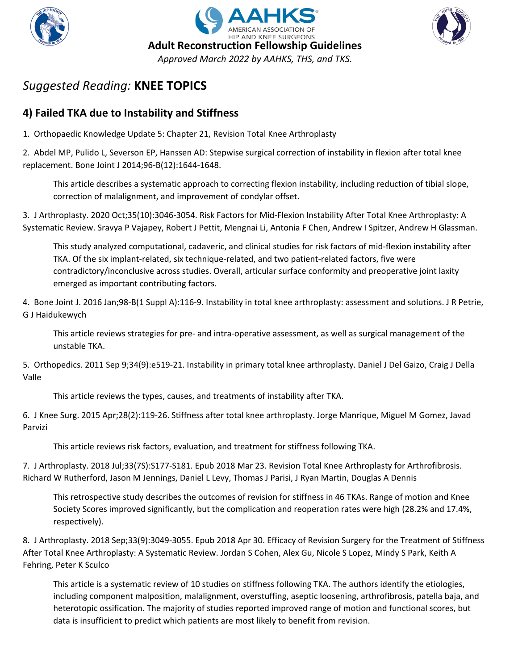





# **4) Failed TKA due to Instability and Stiffness**

1. Orthopaedic Knowledge Update 5: Chapter 21, Revision Total Knee Arthroplasty

2. Abdel MP, Pulido L, Severson EP, Hanssen AD: Stepwise surgical correction of instability in flexion after total knee replacement. Bone Joint J 2014;96-B(12):1644-1648.

This article describes a systematic approach to correcting flexion instability, including reduction of tibial slope, correction of malalignment, and improvement of condylar offset.

3. J Arthroplasty. 2020 Oct;35(10):3046-3054. Risk Factors for Mid-Flexion Instability After Total Knee Arthroplasty: A Systematic Review. Sravya P Vajapey, Robert J Pettit, Mengnai Li, Antonia F Chen, Andrew I Spitzer, Andrew H Glassman.

This study analyzed computational, cadaveric, and clinical studies for risk factors of mid-flexion instability after TKA. Of the six implant-related, six technique-related, and two patient-related factors, five were contradictory/inconclusive across studies. Overall, articular surface conformity and preoperative joint laxity emerged as important contributing factors.

4. Bone Joint J. 2016 Jan;98-B(1 Suppl A):116-9. Instability in total knee arthroplasty: assessment and solutions. J R Petrie, G J Haidukewych

This article reviews strategies for pre- and intra-operative assessment, as well as surgical management of the unstable TKA.

5. Orthopedics. 2011 Sep 9;34(9):e519-21. Instability in primary total knee arthroplasty. Daniel J Del Gaizo, Craig J Della Valle

This article reviews the types, causes, and treatments of instability after TKA.

6. J Knee Surg. 2015 Apr;28(2):119-26. Stiffness after total knee arthroplasty. Jorge Manrique, Miguel M Gomez, Javad Parvizi

This article reviews risk factors, evaluation, and treatment for stiffness following TKA.

7. J Arthroplasty. 2018 Jul;33(7S):S177-S181. Epub 2018 Mar 23. Revision Total Knee Arthroplasty for Arthrofibrosis. Richard W Rutherford, Jason M Jennings, Daniel L Levy, Thomas J Parisi, J Ryan Martin, Douglas A Dennis

This retrospective study describes the outcomes of revision for stiffness in 46 TKAs. Range of motion and Knee Society Scores improved significantly, but the complication and reoperation rates were high (28.2% and 17.4%, respectively).

8. J Arthroplasty. 2018 Sep;33(9):3049-3055. Epub 2018 Apr 30. Efficacy of Revision Surgery for the Treatment of Stiffness After Total Knee Arthroplasty: A Systematic Review. Jordan S Cohen, Alex Gu, Nicole S Lopez, Mindy S Park, Keith A Fehring, Peter K Sculco

This article is a systematic review of 10 studies on stiffness following TKA. The authors identify the etiologies, including component malposition, malalignment, overstuffing, aseptic loosening, arthrofibrosis, patella baja, and heterotopic ossification. The majority of studies reported improved range of motion and functional scores, but data is insufficient to predict which patients are most likely to benefit from revision.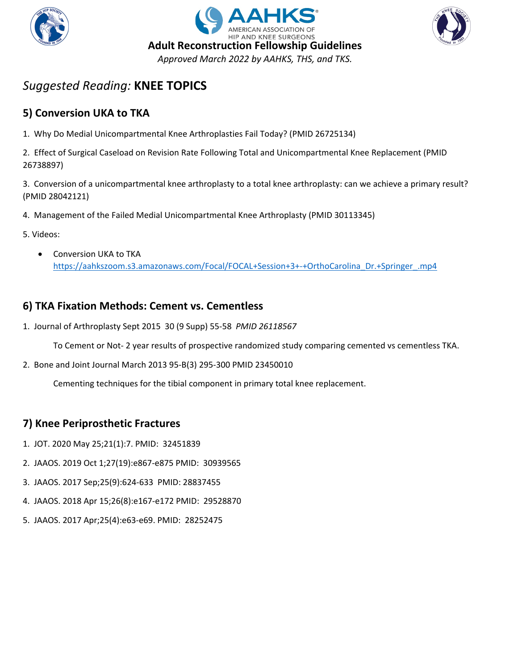





# **5) Conversion UKA to TKA**

1. Why Do Medial Unicompartmental Knee Arthroplasties Fail Today? (PMID 26725134)

2. Effect of Surgical Caseload on Revision Rate Following Total and Unicompartmental Knee Replacement (PMID 26738897)

3. Conversion of a unicompartmental knee arthroplasty to a total knee arthroplasty: can we achieve a primary result? (PMID 28042121)

- 4. Management of the Failed Medial Unicompartmental Knee Arthroplasty (PMID 30113345)
- 5. Videos:
	- Conversion UKA to TKA [https://aahkszoom.s3.amazonaws.com/Focal/FOCAL+Session+3+-+OrthoCarolina\\_Dr.+Springer\\_.mp4](https://aahkszoom.s3.amazonaws.com/Focal/FOCAL+Session+3+-+OrthoCarolina_Dr.+Springer_.mp4)

# **6) TKA Fixation Methods: Cement vs. Cementless**

1. Journal of Arthroplasty Sept 2015 30 (9 Supp) 55-58 *PMID 26118567*

To Cement or Not- 2 year results of prospective randomized study comparing cemented vs cementless TKA.

2. Bone and Joint Journal March 2013 95-B(3) 295-300 PMID 23450010

Cementing techniques for the tibial component in primary total knee replacement.

### **7) Knee Periprosthetic Fractures**

- 1. JOT. 2020 May 25;21(1):7. PMID: 32451839
- 2. JAAOS. 2019 Oct 1;27(19):e867-e875 PMID: 30939565
- 3. JAAOS. 2017 Sep;25(9):624-633 PMID: 28837455
- 4. JAAOS. 2018 Apr 15;26(8):e167-e172 PMID: 29528870
- 5. JAAOS. 2017 Apr;25(4):e63-e69. PMID: 28252475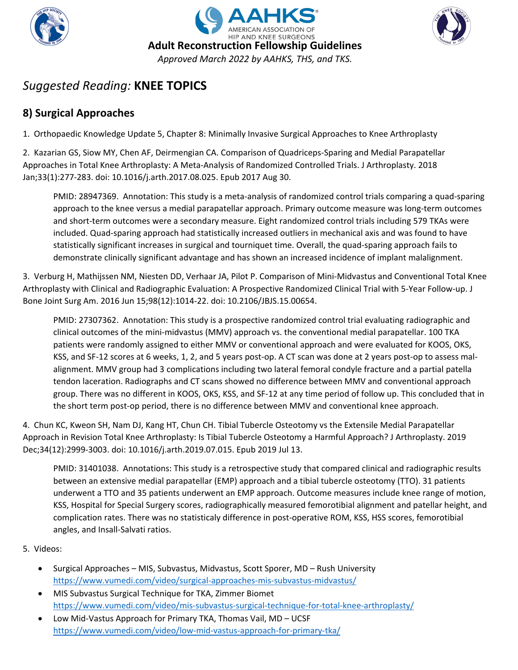





# **8) Surgical Approaches**

1. Orthopaedic Knowledge Update 5, Chapter 8: Minimally Invasive Surgical Approaches to Knee Arthroplasty

2. Kazarian GS, Siow MY, Chen AF, Deirmengian CA. Comparison of Quadriceps-Sparing and Medial Parapatellar Approaches in Total Knee Arthroplasty: A Meta-Analysis of Randomized Controlled Trials. J Arthroplasty. 2018 Jan;33(1):277-283. doi: 10.1016/j.arth.2017.08.025. Epub 2017 Aug 30.

PMID: 28947369. Annotation: This study is a meta-analysis of randomized control trials comparing a quad-sparing approach to the knee versus a medial parapatellar approach. Primary outcome measure was long-term outcomes and short-term outcomes were a secondary measure. Eight randomized control trials including 579 TKAs were included. Quad-sparing approach had statistically increased outliers in mechanical axis and was found to have statistically significant increases in surgical and tourniquet time. Overall, the quad-sparing approach fails to demonstrate clinically significant advantage and has shown an increased incidence of implant malalignment.

3. Verburg H, Mathijssen NM, Niesten DD, Verhaar JA, Pilot P. Comparison of Mini-Midvastus and Conventional Total Knee Arthroplasty with Clinical and Radiographic Evaluation: A Prospective Randomized Clinical Trial with 5-Year Follow-up. J Bone Joint Surg Am. 2016 Jun 15;98(12):1014-22. doi: 10.2106/JBJS.15.00654.

PMID: 27307362. Annotation: This study is a prospective randomized control trial evaluating radiographic and clinical outcomes of the mini-midvastus (MMV) approach vs. the conventional medial parapatellar. 100 TKA patients were randomly assigned to either MMV or conventional approach and were evaluated for KOOS, OKS, KSS, and SF-12 scores at 6 weeks, 1, 2, and 5 years post-op. A CT scan was done at 2 years post-op to assess malalignment. MMV group had 3 complications including two lateral femoral condyle fracture and a partial patella tendon laceration. Radiographs and CT scans showed no difference between MMV and conventional approach group. There was no different in KOOS, OKS, KSS, and SF-12 at any time period of follow up. This concluded that in the short term post-op period, there is no difference between MMV and conventional knee approach.

4. Chun KC, Kweon SH, Nam DJ, Kang HT, Chun CH. Tibial Tubercle Osteotomy vs the Extensile Medial Parapatellar Approach in Revision Total Knee Arthroplasty: Is Tibial Tubercle Osteotomy a Harmful Approach? J Arthroplasty. 2019 Dec;34(12):2999-3003. doi: 10.1016/j.arth.2019.07.015. Epub 2019 Jul 13.

PMID: 31401038. Annotations: This study is a retrospective study that compared clinical and radiographic results between an extensive medial parapatellar (EMP) approach and a tibial tubercle osteotomy (TTO). 31 patients underwent a TTO and 35 patients underwent an EMP approach. Outcome measures include knee range of motion, KSS, Hospital for Special Surgery scores, radiographically measured femorotibial alignment and patellar height, and complication rates. There was no statisticaly difference in post-operative ROM, KSS, HSS scores, femorotibial angles, and Insall-Salvati ratios.

- Surgical Approaches MIS, Subvastus, Midvastus, Scott Sporer, MD Rush University <https://www.vumedi.com/video/surgical-approaches-mis-subvastus-midvastus/>
- MIS Subvastus Surgical Technique for TKA, Zimmer Biomet <https://www.vumedi.com/video/mis-subvastus-surgical-technique-for-total-knee-arthroplasty/>
- Low Mid-Vastus Approach for Primary TKA, Thomas Vail, MD UCSF <https://www.vumedi.com/video/low-mid-vastus-approach-for-primary-tka/>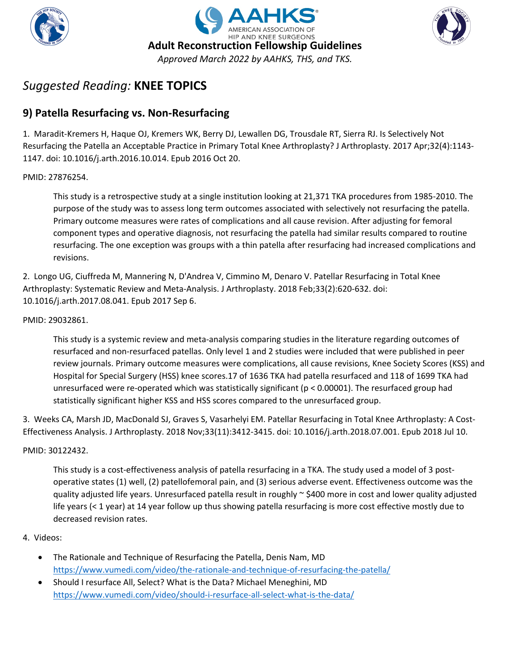





# **9) Patella Resurfacing vs. Non-Resurfacing**

1. Maradit-Kremers H, Haque OJ, Kremers WK, Berry DJ, Lewallen DG, Trousdale RT, Sierra RJ. Is Selectively Not Resurfacing the Patella an Acceptable Practice in Primary Total Knee Arthroplasty? J Arthroplasty. 2017 Apr;32(4):1143- 1147. doi: 10.1016/j.arth.2016.10.014. Epub 2016 Oct 20.

#### PMID: 27876254.

This study is a retrospective study at a single institution looking at 21,371 TKA procedures from 1985-2010. The purpose of the study was to assess long term outcomes associated with selectively not resurfacing the patella. Primary outcome measures were rates of complications and all cause revision. After adjusting for femoral component types and operative diagnosis, not resurfacing the patella had similar results compared to routine resurfacing. The one exception was groups with a thin patella after resurfacing had increased complications and revisions.

2. Longo UG, Ciuffreda M, Mannering N, D'Andrea V, Cimmino M, Denaro V. Patellar Resurfacing in Total Knee Arthroplasty: Systematic Review and Meta-Analysis. J Arthroplasty. 2018 Feb;33(2):620-632. doi: 10.1016/j.arth.2017.08.041. Epub 2017 Sep 6.

#### PMID: 29032861.

This study is a systemic review and meta-analysis comparing studies in the literature regarding outcomes of resurfaced and non-resurfaced patellas. Only level 1 and 2 studies were included that were published in peer review journals. Primary outcome measures were complications, all cause revisions, Knee Society Scores (KSS) and Hospital for Special Surgery (HSS) knee scores.17 of 1636 TKA had patella resurfaced and 118 of 1699 TKA had unresurfaced were re-operated which was statistically significant ( $p < 0.00001$ ). The resurfaced group had statistically significant higher KSS and HSS scores compared to the unresurfaced group.

3. Weeks CA, Marsh JD, MacDonald SJ, Graves S, Vasarhelyi EM. Patellar Resurfacing in Total Knee Arthroplasty: A Cost-Effectiveness Analysis. J Arthroplasty. 2018 Nov;33(11):3412-3415. doi: 10.1016/j.arth.2018.07.001. Epub 2018 Jul 10.

#### PMID: 30122432.

This study is a cost-effectiveness analysis of patella resurfacing in a TKA. The study used a model of 3 postoperative states (1) well, (2) patellofemoral pain, and (3) serious adverse event. Effectiveness outcome was the quality adjusted life years. Unresurfaced patella result in roughly  $\sim$  \$400 more in cost and lower quality adjusted life years (< 1 year) at 14 year follow up thus showing patella resurfacing is more cost effective mostly due to decreased revision rates.

- The Rationale and Technique of Resurfacing the Patella, Denis Nam, MD <https://www.vumedi.com/video/the-rationale-and-technique-of-resurfacing-the-patella/>
- Should I resurface All, Select? What is the Data? Michael Meneghini, MD <https://www.vumedi.com/video/should-i-resurface-all-select-what-is-the-data/>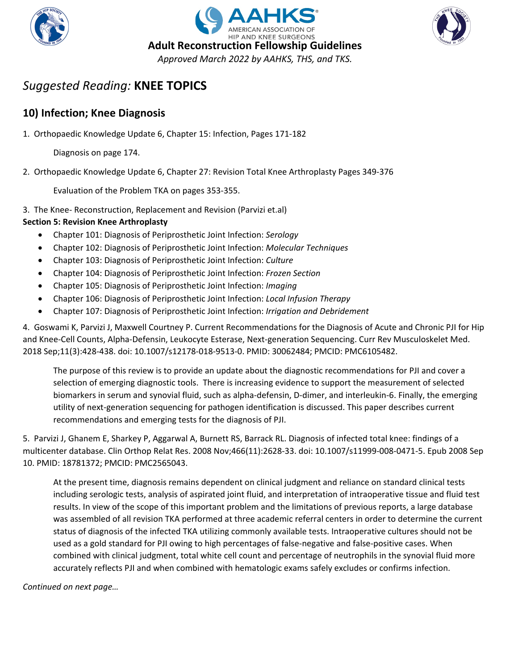





### **10) Infection; Knee Diagnosis**

1. Orthopaedic Knowledge Update 6, Chapter 15: Infection, Pages 171-182

Diagnosis on page 174.

2. Orthopaedic Knowledge Update 6, Chapter 27: Revision Total Knee Arthroplasty Pages 349-376

Evaluation of the Problem TKA on pages 353-355.

3. The Knee- Reconstruction, Replacement and Revision (Parvizi et.al)

#### **Section 5: Revision Knee Arthroplasty**

- Chapter 101: Diagnosis of Periprosthetic Joint Infection: *Serology*
- Chapter 102: Diagnosis of Periprosthetic Joint Infection: *Molecular Techniques*
- Chapter 103: Diagnosis of Periprosthetic Joint Infection: *Culture*
- Chapter 104: Diagnosis of Periprosthetic Joint Infection: *Frozen Section*
- Chapter 105: Diagnosis of Periprosthetic Joint Infection: *Imaging*
- Chapter 106: Diagnosis of Periprosthetic Joint Infection: *Local Infusion Therapy*
- Chapter 107: Diagnosis of Periprosthetic Joint Infection: *Irrigation and Debridement*

4. Goswami K, Parvizi J, Maxwell Courtney P. Current Recommendations for the Diagnosis of Acute and Chronic PJI for Hip and Knee-Cell Counts, Alpha-Defensin, Leukocyte Esterase, Next-generation Sequencing. Curr Rev Musculoskelet Med. 2018 Sep;11(3):428-438. doi: 10.1007/s12178-018-9513-0. PMID: 30062484; PMCID: PMC6105482.

The purpose of this review is to provide an update about the diagnostic recommendations for PJI and cover a selection of emerging diagnostic tools. There is increasing evidence to support the measurement of selected biomarkers in serum and synovial fluid, such as alpha-defensin, D-dimer, and interleukin-6. Finally, the emerging utility of next-generation sequencing for pathogen identification is discussed. This paper describes current recommendations and emerging tests for the diagnosis of PJI.

5. Parvizi J, Ghanem E, Sharkey P, Aggarwal A, Burnett RS, Barrack RL. Diagnosis of infected total knee: findings of a multicenter database. Clin Orthop Relat Res. 2008 Nov;466(11):2628-33. doi: 10.1007/s11999-008-0471-5. Epub 2008 Sep 10. PMID: 18781372; PMCID: PMC2565043.

At the present time, diagnosis remains dependent on clinical judgment and reliance on standard clinical tests including serologic tests, analysis of aspirated joint fluid, and interpretation of intraoperative tissue and fluid test results. In view of the scope of this important problem and the limitations of previous reports, a large database was assembled of all revision TKA performed at three academic referral centers in order to determine the current status of diagnosis of the infected TKA utilizing commonly available tests. Intraoperative cultures should not be used as a gold standard for PJI owing to high percentages of false-negative and false-positive cases. When combined with clinical judgment, total white cell count and percentage of neutrophils in the synovial fluid more accurately reflects PJI and when combined with hematologic exams safely excludes or confirms infection.

*Continued on next page…*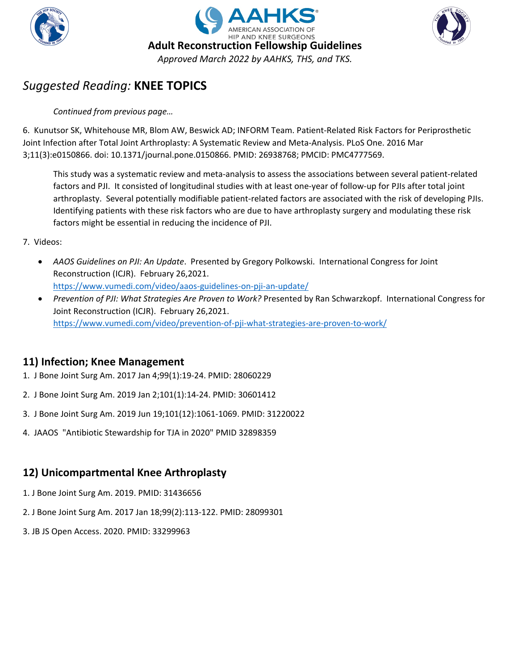





#### *Continued from previous page…*

6. Kunutsor SK, Whitehouse MR, Blom AW, Beswick AD; INFORM Team. Patient-Related Risk Factors for Periprosthetic Joint Infection after Total Joint Arthroplasty: A Systematic Review and Meta-Analysis. PLoS One. 2016 Mar 3;11(3):e0150866. doi: 10.1371/journal.pone.0150866. PMID: 26938768; PMCID: PMC4777569.

This study was a systematic review and meta-analysis to assess the associations between several patient-related factors and PJI. It consisted of longitudinal studies with at least one-year of follow-up for PJIs after total joint arthroplasty. Several potentially modifiable patient-related factors are associated with the risk of developing PJIs. Identifying patients with these risk factors who are due to have arthroplasty surgery and modulating these risk factors might be essential in reducing the incidence of PJI.

#### 7. Videos:

- *AAOS Guidelines on PJI: An Update*. Presented by Gregory Polkowski. International Congress for Joint Reconstruction (ICJR). February 26,2021. <https://www.vumedi.com/video/aaos-guidelines-on-pji-an-update/>
- *Prevention of PJI: What Strategies Are Proven to Work?* Presented by Ran Schwarzkopf. International Congress for Joint Reconstruction (ICJR). February 26,2021. <https://www.vumedi.com/video/prevention-of-pji-what-strategies-are-proven-to-work/>

### **11) Infection; Knee Management**

- 1. J Bone Joint Surg Am. 2017 Jan 4;99(1):19-24. PMID: 28060229
- 2. J Bone Joint Surg Am. 2019 Jan 2;101(1):14-24. PMID: 30601412
- 3. J Bone Joint Surg Am. 2019 Jun 19;101(12):1061-1069. PMID: 31220022
- 4. JAAOS "Antibiotic Stewardship for TJA in 2020" PMID 32898359

# **12) Unicompartmental Knee Arthroplasty**

- 1. J Bone Joint Surg Am. 2019. PMID: 31436656
- 2. J Bone Joint Surg Am. 2017 Jan 18;99(2):113-122. PMID: 28099301
- 3. JB JS Open Access. 2020. PMID: 33299963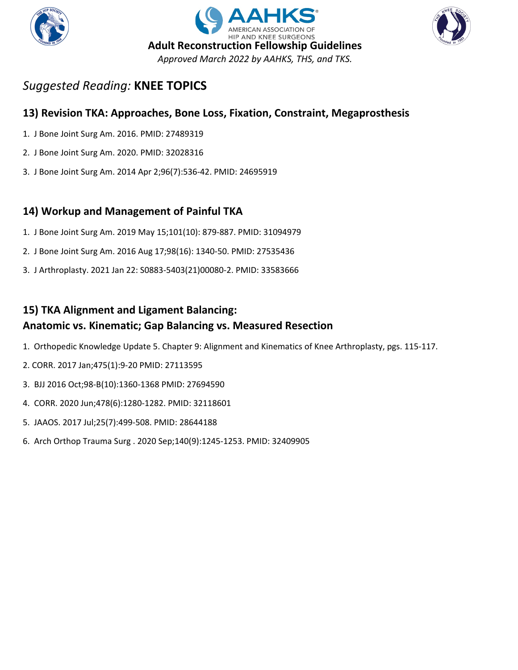





### **13) Revision TKA: Approaches, Bone Loss, Fixation, Constraint, Megaprosthesis**

- 1. J Bone Joint Surg Am. 2016. PMID: 27489319
- 2. J Bone Joint Surg Am. 2020. PMID: 32028316
- 3. J Bone Joint Surg Am. 2014 Apr 2;96(7):536-42. PMID: 24695919

# **14) Workup and Management of Painful TKA**

- 1. J Bone Joint Surg Am. 2019 May 15;101(10): 879-887. PMID: 31094979
- 2. J Bone Joint Surg Am. 2016 Aug 17;98(16): 1340-50. PMID: 27535436
- 3. J Arthroplasty. 2021 Jan 22: S0883-5403(21)00080-2. PMID: 33583666

# **15) TKA Alignment and Ligament Balancing:**

### **Anatomic vs. Kinematic; Gap Balancing vs. Measured Resection**

- 1. Orthopedic Knowledge Update 5. Chapter 9: Alignment and Kinematics of Knee Arthroplasty, pgs. 115-117.
- 2. CORR. 2017 Jan;475(1):9-20 PMID: 27113595
- 3. BJJ 2016 Oct;98-B(10):1360-1368 PMID: 27694590
- 4. CORR. 2020 Jun;478(6):1280-1282. PMID: 32118601
- 5. JAAOS. 2017 Jul;25(7):499-508. PMID: 28644188
- 6. Arch Orthop Trauma Surg . 2020 Sep;140(9):1245-1253. PMID: 32409905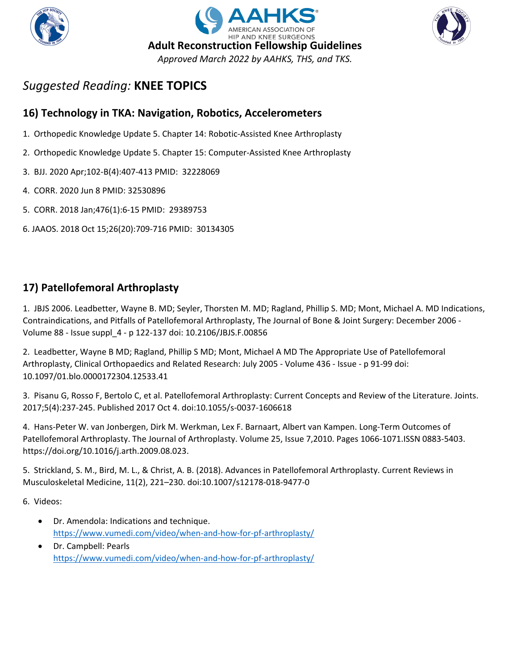





# **16) Technology in TKA: Navigation, Robotics, Accelerometers**

- 1. Orthopedic Knowledge Update 5. Chapter 14: Robotic-Assisted Knee Arthroplasty
- 2. Orthopedic Knowledge Update 5. Chapter 15: Computer-Assisted Knee Arthroplasty
- 3. BJJ. 2020 Apr;102-B(4):407-413 PMID: 32228069
- 4. CORR. 2020 Jun 8 PMID: 32530896
- 5. CORR. 2018 Jan;476(1):6-15 PMID: 29389753
- 6. JAAOS. 2018 Oct 15;26(20):709-716 PMID: 30134305

# **17) Patellofemoral Arthroplasty**

1. JBJS 2006. Leadbetter, Wayne B. MD; Seyler, Thorsten M. MD; Ragland, Phillip S. MD; Mont, Michael A. MD Indications, Contraindications, and Pitfalls of Patellofemoral Arthroplasty, The Journal of Bone & Joint Surgery: December 2006 - Volume 88 - Issue suppl\_4 - p 122-137 doi: 10.2106/JBJS.F.00856

2. Leadbetter, Wayne B MD; Ragland, Phillip S MD; Mont, Michael A MD The Appropriate Use of Patellofemoral Arthroplasty, Clinical Orthopaedics and Related Research: July 2005 - Volume 436 - Issue - p 91-99 doi: 10.1097/01.blo.0000172304.12533.41

3. Pisanu G, Rosso F, Bertolo C, et al. Patellofemoral Arthroplasty: Current Concepts and Review of the Literature. Joints. 2017;5(4):237-245. Published 2017 Oct 4. doi:10.1055/s-0037-1606618

4. Hans-Peter W. van Jonbergen, Dirk M. Werkman, Lex F. Barnaart, Albert van Kampen. Long-Term Outcomes of Patellofemoral Arthroplasty. The Journal of Arthroplasty. Volume 25, Issue 7,2010. Pages 1066-1071.ISSN 0883-5403. https://doi.org/10.1016/j.arth.2009.08.023.

5. Strickland, S. M., Bird, M. L., & Christ, A. B. (2018). Advances in Patellofemoral Arthroplasty. Current Reviews in Musculoskeletal Medicine, 11(2), 221–230. doi:10.1007/s12178-018-9477-0

- Dr. Amendola: Indications and technique. <https://www.vumedi.com/video/when-and-how-for-pf-arthroplasty/>
- Dr. Campbell: Pearls <https://www.vumedi.com/video/when-and-how-for-pf-arthroplasty/>